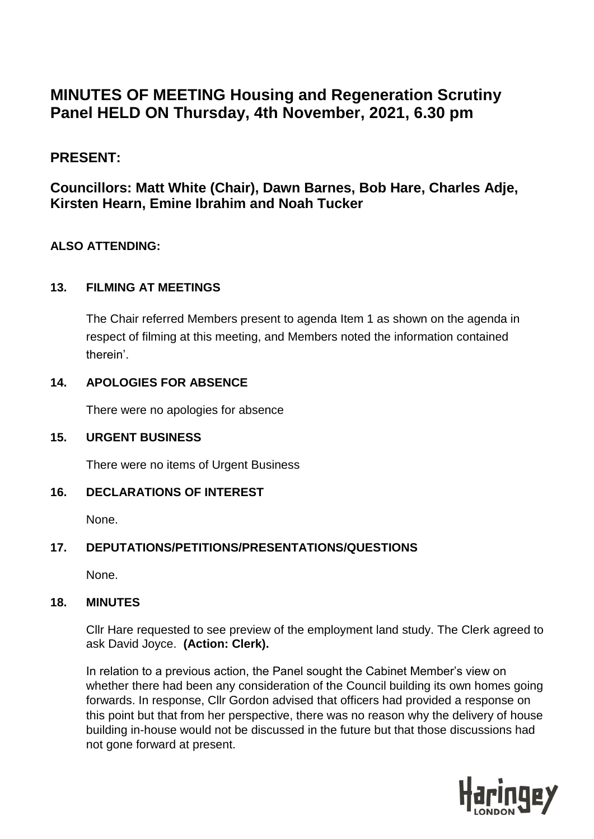# **MINUTES OF MEETING Housing and Regeneration Scrutiny Panel HELD ON Thursday, 4th November, 2021, 6.30 pm**

# **PRESENT:**

# **Councillors: Matt White (Chair), Dawn Barnes, Bob Hare, Charles Adje, Kirsten Hearn, Emine Ibrahim and Noah Tucker**

## **ALSO ATTENDING:**

## **13. FILMING AT MEETINGS**

The Chair referred Members present to agenda Item 1 as shown on the agenda in respect of filming at this meeting, and Members noted the information contained therein'.

#### **14. APOLOGIES FOR ABSENCE**

There were no apologies for absence

#### **15. URGENT BUSINESS**

There were no items of Urgent Business

## **16. DECLARATIONS OF INTEREST**

None.

## **17. DEPUTATIONS/PETITIONS/PRESENTATIONS/QUESTIONS**

None.

#### **18. MINUTES**

Cllr Hare requested to see preview of the employment land study. The Clerk agreed to ask David Joyce. **(Action: Clerk).**

In relation to a previous action, the Panel sought the Cabinet Member's view on whether there had been any consideration of the Council building its own homes going forwards. In response, Cllr Gordon advised that officers had provided a response on this point but that from her perspective, there was no reason why the delivery of house building in-house would not be discussed in the future but that those discussions had not gone forward at present.

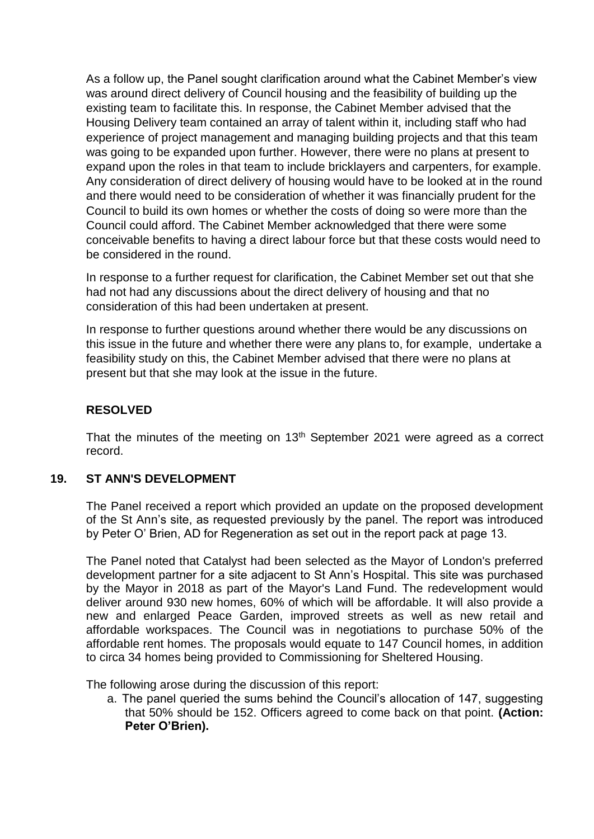As a follow up, the Panel sought clarification around what the Cabinet Member's view was around direct delivery of Council housing and the feasibility of building up the existing team to facilitate this. In response, the Cabinet Member advised that the Housing Delivery team contained an array of talent within it, including staff who had experience of project management and managing building projects and that this team was going to be expanded upon further. However, there were no plans at present to expand upon the roles in that team to include bricklayers and carpenters, for example. Any consideration of direct delivery of housing would have to be looked at in the round and there would need to be consideration of whether it was financially prudent for the Council to build its own homes or whether the costs of doing so were more than the Council could afford. The Cabinet Member acknowledged that there were some conceivable benefits to having a direct labour force but that these costs would need to be considered in the round.

In response to a further request for clarification, the Cabinet Member set out that she had not had any discussions about the direct delivery of housing and that no consideration of this had been undertaken at present.

In response to further questions around whether there would be any discussions on this issue in the future and whether there were any plans to, for example, undertake a feasibility study on this, the Cabinet Member advised that there were no plans at present but that she may look at the issue in the future.

#### **RESOLVED**

That the minutes of the meeting on  $13<sup>th</sup>$  September 2021 were agreed as a correct record.

## **19. ST ANN'S DEVELOPMENT**

The Panel received a report which provided an update on the proposed development of the St Ann's site, as requested previously by the panel. The report was introduced by Peter O' Brien, AD for Regeneration as set out in the report pack at page 13.

The Panel noted that Catalyst had been selected as the Mayor of London's preferred development partner for a site adjacent to St Ann's Hospital. This site was purchased by the Mayor in 2018 as part of the Mayor's Land Fund. The redevelopment would deliver around 930 new homes, 60% of which will be affordable. It will also provide a new and enlarged Peace Garden, improved streets as well as new retail and affordable workspaces. The Council was in negotiations to purchase 50% of the affordable rent homes. The proposals would equate to 147 Council homes, in addition to circa 34 homes being provided to Commissioning for Sheltered Housing.

The following arose during the discussion of this report:

a. The panel queried the sums behind the Council's allocation of 147, suggesting that 50% should be 152. Officers agreed to come back on that point. **(Action: Peter O'Brien).**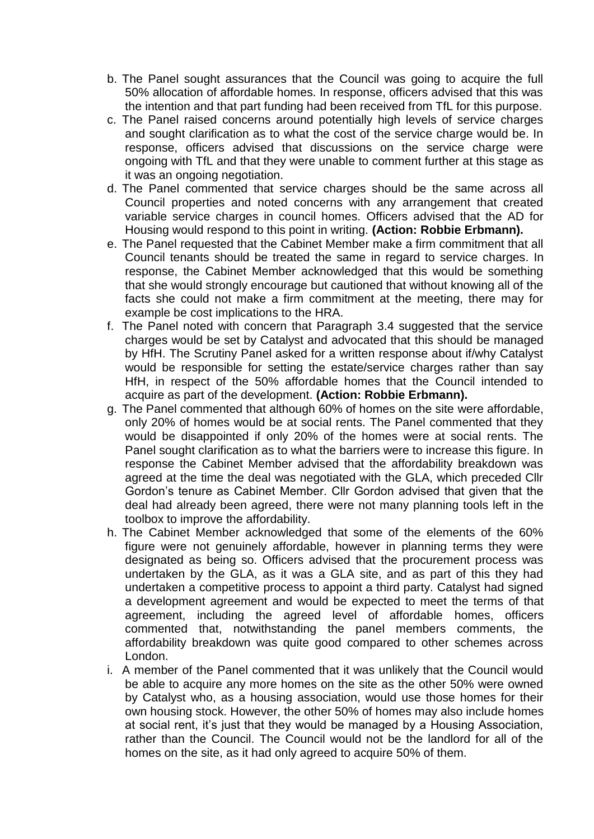- b. The Panel sought assurances that the Council was going to acquire the full 50% allocation of affordable homes. In response, officers advised that this was the intention and that part funding had been received from TfL for this purpose.
- c. The Panel raised concerns around potentially high levels of service charges and sought clarification as to what the cost of the service charge would be. In response, officers advised that discussions on the service charge were ongoing with TfL and that they were unable to comment further at this stage as it was an ongoing negotiation.
- d. The Panel commented that service charges should be the same across all Council properties and noted concerns with any arrangement that created variable service charges in council homes. Officers advised that the AD for Housing would respond to this point in writing. **(Action: Robbie Erbmann).**
- e. The Panel requested that the Cabinet Member make a firm commitment that all Council tenants should be treated the same in regard to service charges. In response, the Cabinet Member acknowledged that this would be something that she would strongly encourage but cautioned that without knowing all of the facts she could not make a firm commitment at the meeting, there may for example be cost implications to the HRA.
- f. The Panel noted with concern that Paragraph 3.4 suggested that the service charges would be set by Catalyst and advocated that this should be managed by HfH. The Scrutiny Panel asked for a written response about if/why Catalyst would be responsible for setting the estate/service charges rather than say HfH, in respect of the 50% affordable homes that the Council intended to acquire as part of the development. **(Action: Robbie Erbmann).**
- g. The Panel commented that although 60% of homes on the site were affordable, only 20% of homes would be at social rents. The Panel commented that they would be disappointed if only 20% of the homes were at social rents. The Panel sought clarification as to what the barriers were to increase this figure. In response the Cabinet Member advised that the affordability breakdown was agreed at the time the deal was negotiated with the GLA, which preceded Cllr Gordon's tenure as Cabinet Member. Cllr Gordon advised that given that the deal had already been agreed, there were not many planning tools left in the toolbox to improve the affordability.
- h. The Cabinet Member acknowledged that some of the elements of the 60% figure were not genuinely affordable, however in planning terms they were designated as being so. Officers advised that the procurement process was undertaken by the GLA, as it was a GLA site, and as part of this they had undertaken a competitive process to appoint a third party. Catalyst had signed a development agreement and would be expected to meet the terms of that agreement, including the agreed level of affordable homes, officers commented that, notwithstanding the panel members comments, the affordability breakdown was quite good compared to other schemes across London.
- i. A member of the Panel commented that it was unlikely that the Council would be able to acquire any more homes on the site as the other 50% were owned by Catalyst who, as a housing association, would use those homes for their own housing stock. However, the other 50% of homes may also include homes at social rent, it's just that they would be managed by a Housing Association, rather than the Council. The Council would not be the landlord for all of the homes on the site, as it had only agreed to acquire 50% of them.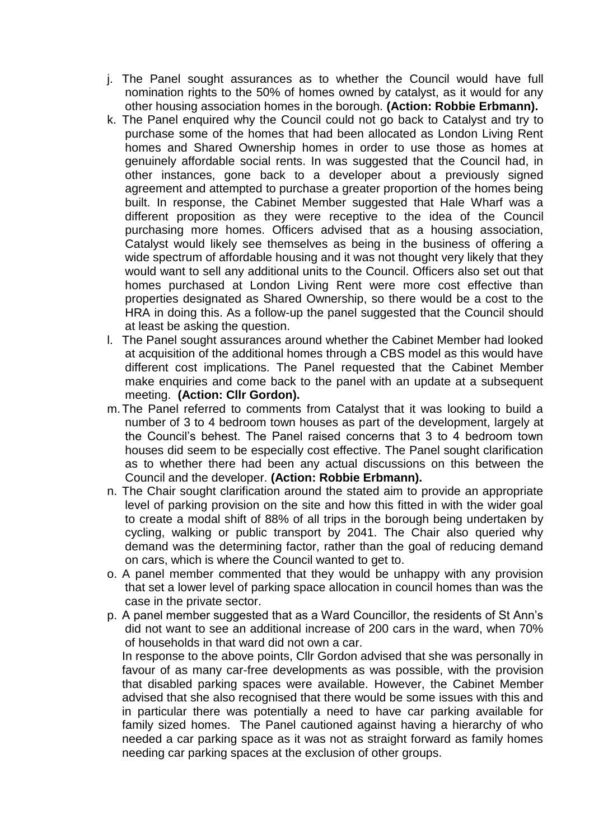- j. The Panel sought assurances as to whether the Council would have full nomination rights to the 50% of homes owned by catalyst, as it would for any other housing association homes in the borough. **(Action: Robbie Erbmann).**
- k. The Panel enquired why the Council could not go back to Catalyst and try to purchase some of the homes that had been allocated as London Living Rent homes and Shared Ownership homes in order to use those as homes at genuinely affordable social rents. In was suggested that the Council had, in other instances, gone back to a developer about a previously signed agreement and attempted to purchase a greater proportion of the homes being built. In response, the Cabinet Member suggested that Hale Wharf was a different proposition as they were receptive to the idea of the Council purchasing more homes. Officers advised that as a housing association, Catalyst would likely see themselves as being in the business of offering a wide spectrum of affordable housing and it was not thought very likely that they would want to sell any additional units to the Council. Officers also set out that homes purchased at London Living Rent were more cost effective than properties designated as Shared Ownership, so there would be a cost to the HRA in doing this. As a follow-up the panel suggested that the Council should at least be asking the question.
- l. The Panel sought assurances around whether the Cabinet Member had looked at acquisition of the additional homes through a CBS model as this would have different cost implications. The Panel requested that the Cabinet Member make enquiries and come back to the panel with an update at a subsequent meeting. **(Action: Cllr Gordon).**
- m.The Panel referred to comments from Catalyst that it was looking to build a number of 3 to 4 bedroom town houses as part of the development, largely at the Council's behest. The Panel raised concerns that 3 to 4 bedroom town houses did seem to be especially cost effective. The Panel sought clarification as to whether there had been any actual discussions on this between the Council and the developer. **(Action: Robbie Erbmann).**
- n. The Chair sought clarification around the stated aim to provide an appropriate level of parking provision on the site and how this fitted in with the wider goal to create a modal shift of 88% of all trips in the borough being undertaken by cycling, walking or public transport by 2041. The Chair also queried why demand was the determining factor, rather than the goal of reducing demand on cars, which is where the Council wanted to get to.
- o. A panel member commented that they would be unhappy with any provision that set a lower level of parking space allocation in council homes than was the case in the private sector.
- p. A panel member suggested that as a Ward Councillor, the residents of St Ann's did not want to see an additional increase of 200 cars in the ward, when 70% of households in that ward did not own a car.

In response to the above points, Cllr Gordon advised that she was personally in favour of as many car-free developments as was possible, with the provision that disabled parking spaces were available. However, the Cabinet Member advised that she also recognised that there would be some issues with this and in particular there was potentially a need to have car parking available for family sized homes. The Panel cautioned against having a hierarchy of who needed a car parking space as it was not as straight forward as family homes needing car parking spaces at the exclusion of other groups.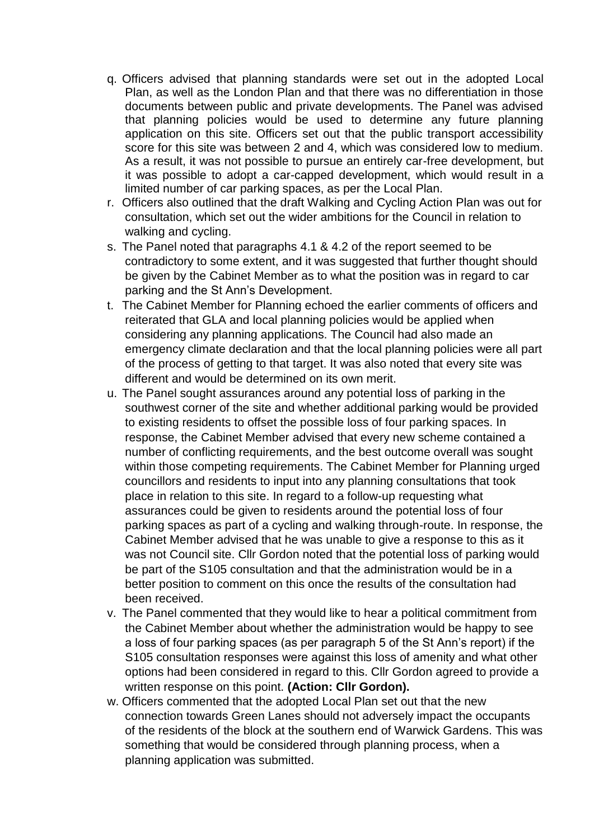- q. Officers advised that planning standards were set out in the adopted Local Plan, as well as the London Plan and that there was no differentiation in those documents between public and private developments. The Panel was advised that planning policies would be used to determine any future planning application on this site. Officers set out that the public transport accessibility score for this site was between 2 and 4, which was considered low to medium. As a result, it was not possible to pursue an entirely car-free development, but it was possible to adopt a car-capped development, which would result in a limited number of car parking spaces, as per the Local Plan.
- r. Officers also outlined that the draft Walking and Cycling Action Plan was out for consultation, which set out the wider ambitions for the Council in relation to walking and cycling.
- s. The Panel noted that paragraphs 4.1 & 4.2 of the report seemed to be contradictory to some extent, and it was suggested that further thought should be given by the Cabinet Member as to what the position was in regard to car parking and the St Ann's Development.
- t. The Cabinet Member for Planning echoed the earlier comments of officers and reiterated that GLA and local planning policies would be applied when considering any planning applications. The Council had also made an emergency climate declaration and that the local planning policies were all part of the process of getting to that target. It was also noted that every site was different and would be determined on its own merit.
- u. The Panel sought assurances around any potential loss of parking in the southwest corner of the site and whether additional parking would be provided to existing residents to offset the possible loss of four parking spaces. In response, the Cabinet Member advised that every new scheme contained a number of conflicting requirements, and the best outcome overall was sought within those competing requirements. The Cabinet Member for Planning urged councillors and residents to input into any planning consultations that took place in relation to this site. In regard to a follow-up requesting what assurances could be given to residents around the potential loss of four parking spaces as part of a cycling and walking through-route. In response, the Cabinet Member advised that he was unable to give a response to this as it was not Council site. Cllr Gordon noted that the potential loss of parking would be part of the S105 consultation and that the administration would be in a better position to comment on this once the results of the consultation had been received.
- v. The Panel commented that they would like to hear a political commitment from the Cabinet Member about whether the administration would be happy to see a loss of four parking spaces (as per paragraph 5 of the St Ann's report) if the S105 consultation responses were against this loss of amenity and what other options had been considered in regard to this. Cllr Gordon agreed to provide a written response on this point. **(Action: Cllr Gordon).**
- w. Officers commented that the adopted Local Plan set out that the new connection towards Green Lanes should not adversely impact the occupants of the residents of the block at the southern end of Warwick Gardens. This was something that would be considered through planning process, when a planning application was submitted.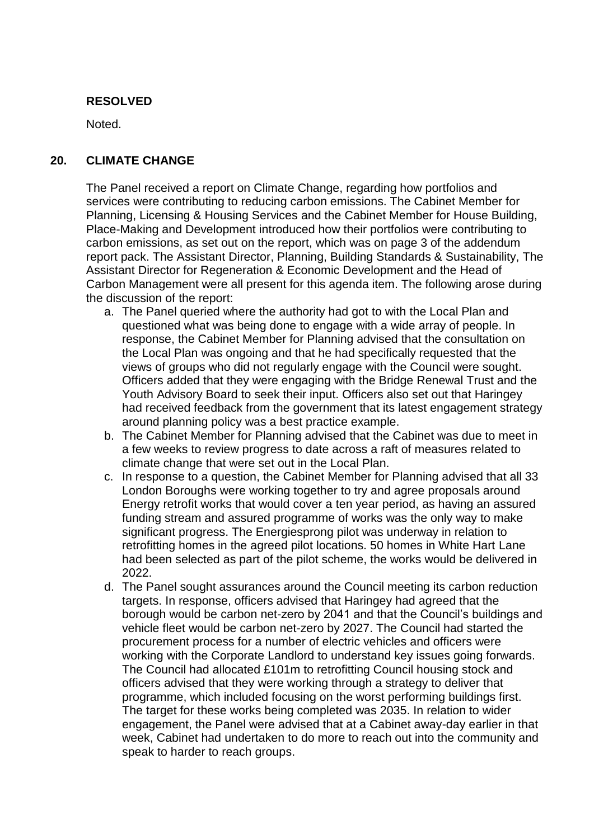#### **RESOLVED**

Noted.

#### **20. CLIMATE CHANGE**

The Panel received a report on Climate Change, regarding how portfolios and services were contributing to reducing carbon emissions. The Cabinet Member for Planning, Licensing & Housing Services and the Cabinet Member for House Building, Place-Making and Development introduced how their portfolios were contributing to carbon emissions, as set out on the report, which was on page 3 of the addendum report pack. The Assistant Director, Planning, Building Standards & Sustainability, The Assistant Director for Regeneration & Economic Development and the Head of Carbon Management were all present for this agenda item. The following arose during the discussion of the report:

- a. The Panel queried where the authority had got to with the Local Plan and questioned what was being done to engage with a wide array of people. In response, the Cabinet Member for Planning advised that the consultation on the Local Plan was ongoing and that he had specifically requested that the views of groups who did not regularly engage with the Council were sought. Officers added that they were engaging with the Bridge Renewal Trust and the Youth Advisory Board to seek their input. Officers also set out that Haringey had received feedback from the government that its latest engagement strategy around planning policy was a best practice example.
- b. The Cabinet Member for Planning advised that the Cabinet was due to meet in a few weeks to review progress to date across a raft of measures related to climate change that were set out in the Local Plan.
- c. In response to a question, the Cabinet Member for Planning advised that all 33 London Boroughs were working together to try and agree proposals around Energy retrofit works that would cover a ten year period, as having an assured funding stream and assured programme of works was the only way to make significant progress. The Energiesprong pilot was underway in relation to retrofitting homes in the agreed pilot locations. 50 homes in White Hart Lane had been selected as part of the pilot scheme, the works would be delivered in 2022.
- d. The Panel sought assurances around the Council meeting its carbon reduction targets. In response, officers advised that Haringey had agreed that the borough would be carbon net-zero by 2041 and that the Council's buildings and vehicle fleet would be carbon net-zero by 2027. The Council had started the procurement process for a number of electric vehicles and officers were working with the Corporate Landlord to understand key issues going forwards. The Council had allocated £101m to retrofitting Council housing stock and officers advised that they were working through a strategy to deliver that programme, which included focusing on the worst performing buildings first. The target for these works being completed was 2035. In relation to wider engagement, the Panel were advised that at a Cabinet away-day earlier in that week, Cabinet had undertaken to do more to reach out into the community and speak to harder to reach groups.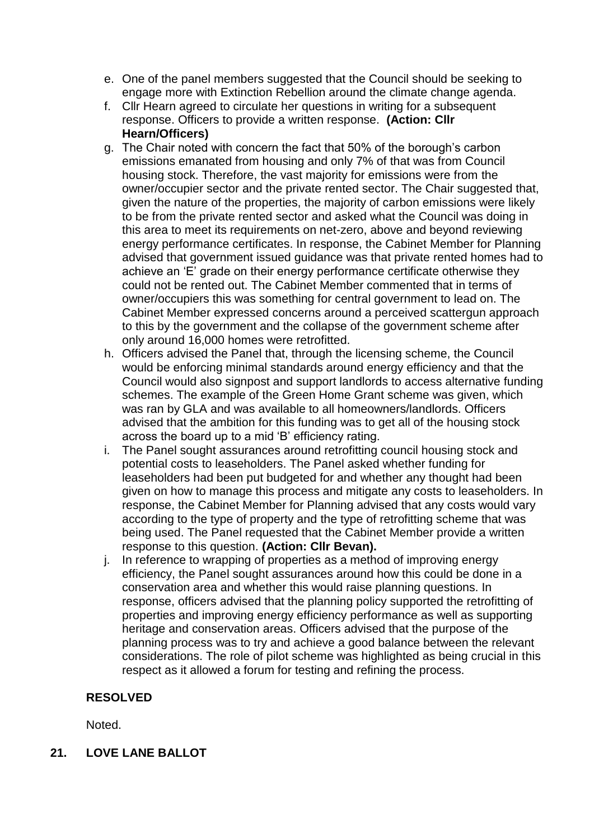- e. One of the panel members suggested that the Council should be seeking to engage more with Extinction Rebellion around the climate change agenda.
- f. Cllr Hearn agreed to circulate her questions in writing for a subsequent response. Officers to provide a written response. **(Action: Cllr Hearn/Officers)**
- g. The Chair noted with concern the fact that 50% of the borough's carbon emissions emanated from housing and only 7% of that was from Council housing stock. Therefore, the vast majority for emissions were from the owner/occupier sector and the private rented sector. The Chair suggested that, given the nature of the properties, the majority of carbon emissions were likely to be from the private rented sector and asked what the Council was doing in this area to meet its requirements on net-zero, above and beyond reviewing energy performance certificates. In response, the Cabinet Member for Planning advised that government issued guidance was that private rented homes had to achieve an 'E' grade on their energy performance certificate otherwise they could not be rented out. The Cabinet Member commented that in terms of owner/occupiers this was something for central government to lead on. The Cabinet Member expressed concerns around a perceived scattergun approach to this by the government and the collapse of the government scheme after only around 16,000 homes were retrofitted.
- h. Officers advised the Panel that, through the licensing scheme, the Council would be enforcing minimal standards around energy efficiency and that the Council would also signpost and support landlords to access alternative funding schemes. The example of the Green Home Grant scheme was given, which was ran by GLA and was available to all homeowners/landlords. Officers advised that the ambition for this funding was to get all of the housing stock across the board up to a mid 'B' efficiency rating.
- i. The Panel sought assurances around retrofitting council housing stock and potential costs to leaseholders. The Panel asked whether funding for leaseholders had been put budgeted for and whether any thought had been given on how to manage this process and mitigate any costs to leaseholders. In response, the Cabinet Member for Planning advised that any costs would vary according to the type of property and the type of retrofitting scheme that was being used. The Panel requested that the Cabinet Member provide a written response to this question. **(Action: Cllr Bevan).**
- j. In reference to wrapping of properties as a method of improving energy efficiency, the Panel sought assurances around how this could be done in a conservation area and whether this would raise planning questions. In response, officers advised that the planning policy supported the retrofitting of properties and improving energy efficiency performance as well as supporting heritage and conservation areas. Officers advised that the purpose of the planning process was to try and achieve a good balance between the relevant considerations. The role of pilot scheme was highlighted as being crucial in this respect as it allowed a forum for testing and refining the process.

## **RESOLVED**

Noted.

## **21. LOVE LANE BALLOT**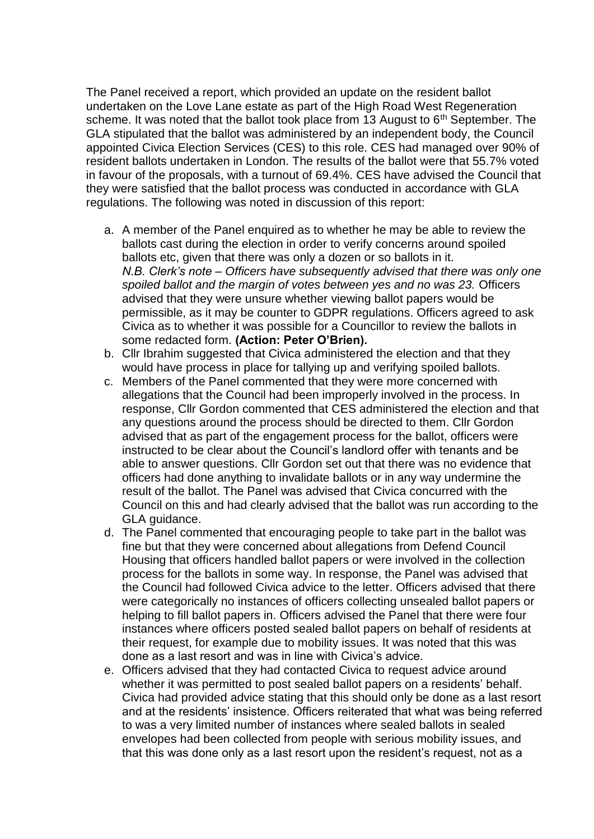The Panel received a report, which provided an update on the resident ballot undertaken on the Love Lane estate as part of the High Road West Regeneration scheme. It was noted that the ballot took place from 13 August to  $6<sup>th</sup>$  September. The GLA stipulated that the ballot was administered by an independent body, the Council appointed Civica Election Services (CES) to this role. CES had managed over 90% of resident ballots undertaken in London. The results of the ballot were that 55.7% voted in favour of the proposals, with a turnout of 69.4%. CES have advised the Council that they were satisfied that the ballot process was conducted in accordance with GLA regulations. The following was noted in discussion of this report:

- a. A member of the Panel enquired as to whether he may be able to review the ballots cast during the election in order to verify concerns around spoiled ballots etc, given that there was only a dozen or so ballots in it. *N.B. Clerk's note – Officers have subsequently advised that there was only one spoiled ballot and the margin of votes between yes and no was 23.* Officers advised that they were unsure whether viewing ballot papers would be permissible, as it may be counter to GDPR regulations. Officers agreed to ask Civica as to whether it was possible for a Councillor to review the ballots in some redacted form. **(Action: Peter O'Brien).**
- b. Cllr Ibrahim suggested that Civica administered the election and that they would have process in place for tallying up and verifying spoiled ballots.
- c. Members of the Panel commented that they were more concerned with allegations that the Council had been improperly involved in the process. In response, Cllr Gordon commented that CES administered the election and that any questions around the process should be directed to them. Cllr Gordon advised that as part of the engagement process for the ballot, officers were instructed to be clear about the Council's landlord offer with tenants and be able to answer questions. Cllr Gordon set out that there was no evidence that officers had done anything to invalidate ballots or in any way undermine the result of the ballot. The Panel was advised that Civica concurred with the Council on this and had clearly advised that the ballot was run according to the GLA guidance.
- d. The Panel commented that encouraging people to take part in the ballot was fine but that they were concerned about allegations from Defend Council Housing that officers handled ballot papers or were involved in the collection process for the ballots in some way. In response, the Panel was advised that the Council had followed Civica advice to the letter. Officers advised that there were categorically no instances of officers collecting unsealed ballot papers or helping to fill ballot papers in. Officers advised the Panel that there were four instances where officers posted sealed ballot papers on behalf of residents at their request, for example due to mobility issues. It was noted that this was done as a last resort and was in line with Civica's advice.
- e. Officers advised that they had contacted Civica to request advice around whether it was permitted to post sealed ballot papers on a residents' behalf. Civica had provided advice stating that this should only be done as a last resort and at the residents' insistence. Officers reiterated that what was being referred to was a very limited number of instances where sealed ballots in sealed envelopes had been collected from people with serious mobility issues, and that this was done only as a last resort upon the resident's request, not as a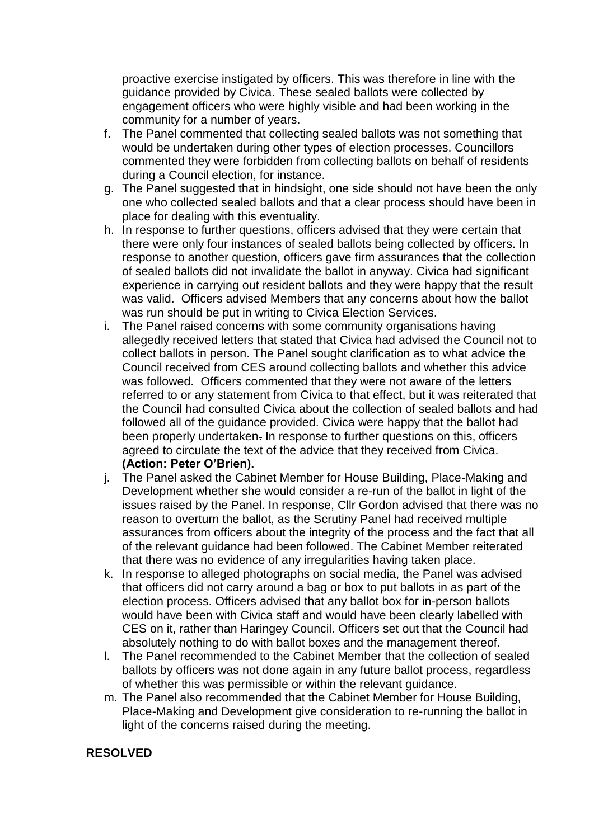proactive exercise instigated by officers. This was therefore in line with the guidance provided by Civica. These sealed ballots were collected by engagement officers who were highly visible and had been working in the community for a number of years.

- f. The Panel commented that collecting sealed ballots was not something that would be undertaken during other types of election processes. Councillors commented they were forbidden from collecting ballots on behalf of residents during a Council election, for instance.
- g. The Panel suggested that in hindsight, one side should not have been the only one who collected sealed ballots and that a clear process should have been in place for dealing with this eventuality.
- h. In response to further questions, officers advised that they were certain that there were only four instances of sealed ballots being collected by officers. In response to another question, officers gave firm assurances that the collection of sealed ballots did not invalidate the ballot in anyway. Civica had significant experience in carrying out resident ballots and they were happy that the result was valid. Officers advised Members that any concerns about how the ballot was run should be put in writing to Civica Election Services.
- i. The Panel raised concerns with some community organisations having allegedly received letters that stated that Civica had advised the Council not to collect ballots in person. The Panel sought clarification as to what advice the Council received from CES around collecting ballots and whether this advice was followed. Officers commented that they were not aware of the letters referred to or any statement from Civica to that effect, but it was reiterated that the Council had consulted Civica about the collection of sealed ballots and had followed all of the guidance provided. Civica were happy that the ballot had been properly undertaken. In response to further questions on this, officers agreed to circulate the text of the advice that they received from Civica. **(Action: Peter O'Brien).**
- j. The Panel asked the Cabinet Member for House Building, Place-Making and Development whether she would consider a re-run of the ballot in light of the issues raised by the Panel. In response, Cllr Gordon advised that there was no reason to overturn the ballot, as the Scrutiny Panel had received multiple assurances from officers about the integrity of the process and the fact that all of the relevant guidance had been followed. The Cabinet Member reiterated that there was no evidence of any irregularities having taken place.
- k. In response to alleged photographs on social media, the Panel was advised that officers did not carry around a bag or box to put ballots in as part of the election process. Officers advised that any ballot box for in-person ballots would have been with Civica staff and would have been clearly labelled with CES on it, rather than Haringey Council. Officers set out that the Council had absolutely nothing to do with ballot boxes and the management thereof.
- l. The Panel recommended to the Cabinet Member that the collection of sealed ballots by officers was not done again in any future ballot process, regardless of whether this was permissible or within the relevant guidance.
- m. The Panel also recommended that the Cabinet Member for House Building, Place-Making and Development give consideration to re-running the ballot in light of the concerns raised during the meeting.

## **RESOLVED**